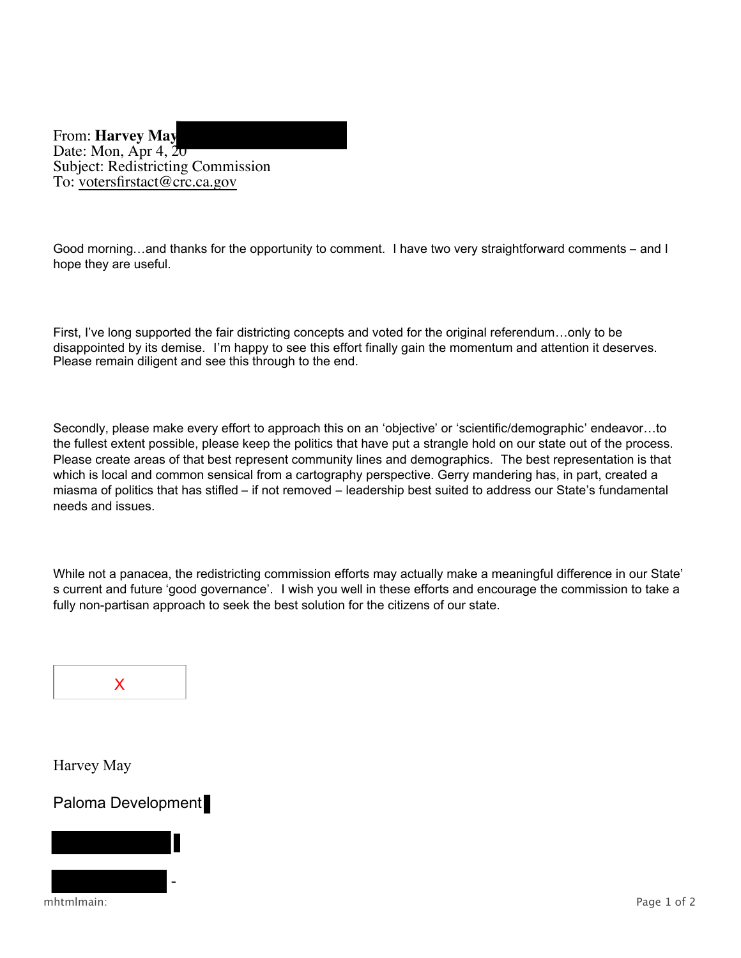From: **Harvey May** Date: Mon, Apr 4, 20 Subject: Redistricting Commission To: votersfirstact@crc.ca.gov

Good morning...and thanks for the opportunity to comment. I have two very straightforward comments – and I hope they are useful.

 First, I've long supported the fair districting concepts and voted for the original referendum…only to be disappointed by its demise. I'm happy to see this effort finally gain the momentum and attention it deserves. Please remain diligent and see this through to the end.

 Secondly, please make every effort to approach this on an 'objective' or 'scientific/demographic' endeavor…to the fullest extent possible, please keep the politics that have put a strangle hold on our state out of the process. Please create areas of that best represent community lines and demographics. The best representation is that which is local and common sensical from a cartography perspective. Gerry mandering has, in part, created a miasma of politics that has stifled – if not removed – leadership best suited to address our State's fundamental needs and issues.

 While not a panacea, the redistricting commission efforts may actually make a meaningful difference in our State' s current and future 'good governance'. I wish you well in these efforts and encourage the commission to take a fully non-partisan approach to seek the best solution for the citizens of our state.



Harvey May

## Paloma Development